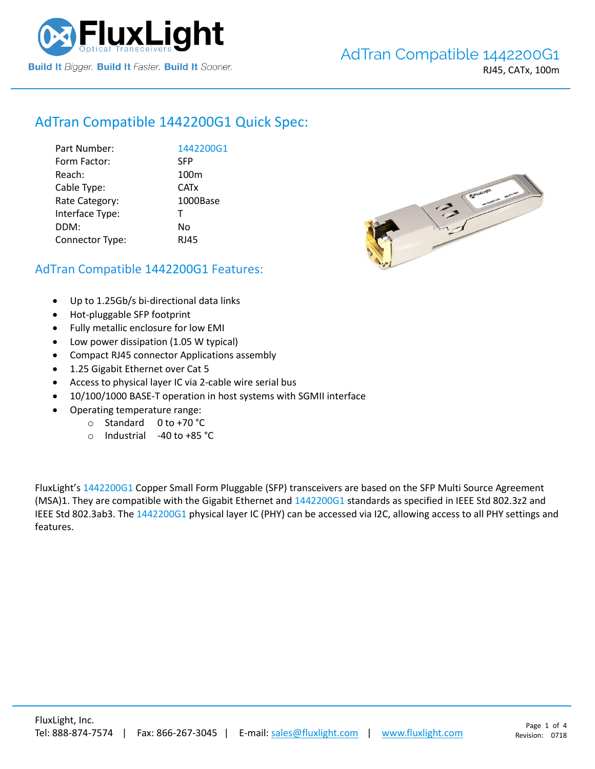

# AdTran Compatible [1442200G1](https://www.fluxlight.com/1442200g1/) Quick Spec:

| Part Number:    | 1442200G1        |
|-----------------|------------------|
| Form Factor:    | <b>SFP</b>       |
| Reach:          | 100 <sub>m</sub> |
| Cable Type:     | <b>CATx</b>      |
| Rate Category:  | 1000Base         |
| Interface Type: | $\mathsf{T}$     |
| DDM:            | No               |
| Connector Type: | <b>RJ45</b>      |
|                 |                  |



## AdTran Compatible [1442200G1](https://www.fluxlight.com/1442200g1/) Features:

- Up to 1.25Gb/s bi-directional data links
- Hot-pluggable SFP footprint
- Fully metallic enclosure for low EMI
- Low power dissipation (1.05 W typical)
- Compact RJ45 connector Applications assembly
- 1.25 Gigabit Ethernet over Cat 5
- Access to physical layer IC via 2-cable wire serial bus
- 10/100/1000 BASE-T operation in host systems with SGMII interface
- Operating temperature range:
	- o Standard 0 to +70 °C
	- o Industrial -40 to +85 °C

FluxLight's [1442200G1](https://www.fluxlight.com/1442200g1/) Copper Small Form Pluggable (SFP) transceivers are based on the SFP Multi Source Agreement (MSA)1. They are compatible with the Gigabit Ethernet and [1442200G1](https://www.fluxlight.com/1442200g1/) standards as specified in IEEE Std 802.3z2 and IEEE Std 802.3ab3. Th[e 1442200G1](https://www.fluxlight.com/1442200g1/) physical layer IC (PHY) can be accessed via I2C, allowing access to all PHY settings and features.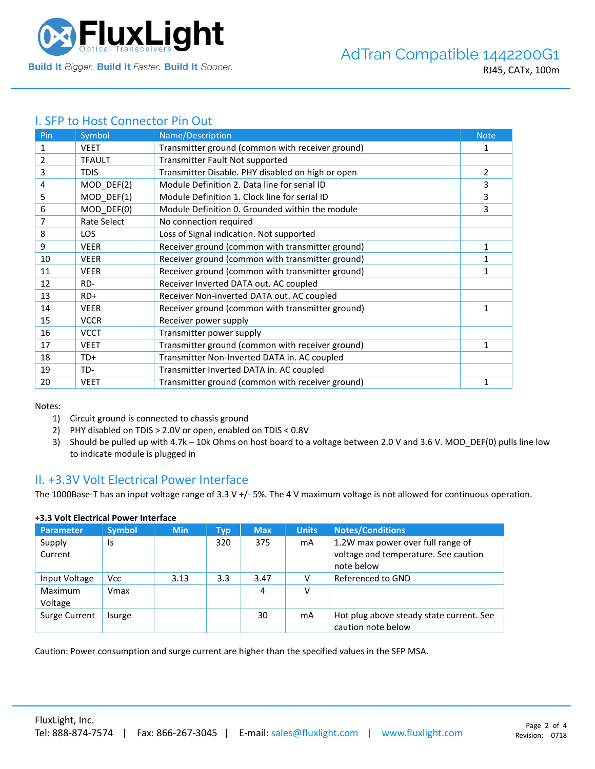

## I. SFP to Host Connector Pin Out

| Pin | Symbol        | Name/Description                                  | <b>Note</b>    |
|-----|---------------|---------------------------------------------------|----------------|
| 1   | <b>VEET</b>   | Transmitter ground (common with receiver ground)  | 1              |
| 2   | <b>TFAULT</b> | Transmitter Fault Not supported                   |                |
| 3   | <b>TDIS</b>   | Transmitter Disable. PHY disabled on high or open | $\overline{2}$ |
| 4   | $MOD_DEF(2)$  | Module Definition 2. Data line for serial ID      | 3              |
| 5   | MOD DEF(1)    | Module Definition 1. Clock line for serial ID     | 3              |
| 6   | MOD DEF(0)    | Module Definition 0. Grounded within the module   | 3              |
| 7   | Rate Select   | No connection required                            |                |
| 8   | <b>LOS</b>    | Loss of Signal indication. Not supported          |                |
| 9   | <b>VEER</b>   | Receiver ground (common with transmitter ground)  | 1              |
| 10  | <b>VEER</b>   | Receiver ground (common with transmitter ground)  | 1              |
| 11  | <b>VEER</b>   | Receiver ground (common with transmitter ground)  | 1              |
| 12  | RD-           | Receiver Inverted DATA out. AC coupled            |                |
| 13  | $RD+$         | Receiver Non-inverted DATA out. AC coupled        |                |
| 14  | <b>VEER</b>   | Receiver ground (common with transmitter ground)  | 1              |
| 15  | <b>VCCR</b>   | Receiver power supply                             |                |
| 16  | <b>VCCT</b>   | Transmitter power supply                          |                |
| 17  | <b>VEET</b>   | Transmitter ground (common with receiver ground)  | 1              |
| 18  | TD+           | Transmitter Non-Inverted DATA in. AC coupled      |                |
| 19  | TD-           | Transmitter Inverted DATA in. AC coupled          |                |
| 20  | <b>VEET</b>   | Transmitter ground (common with receiver ground)  | $\mathbf{1}$   |

Notes:

- 1) Circuit ground is connected to chassis ground
- 2) PHY disabled on TDIS > 2.0V or open, enabled on TDIS < 0.8V
- 3) Should be pulled up with 4.7k 10k Ohms on host board to a voltage between 2.0 V and 3.6 V. MOD\_DEF(0) pulls line low to indicate module is plugged in

### II. +3.3V Volt Electrical Power Interface

The 1000Base-T has an input voltage range of 3.3 V +/- 5%. The 4 V maximum voltage is not allowed for continuous operation.

| <b>Parameter</b>   | <b>Symbol</b> | <b>Min</b> | Typ | <b>Max</b> | <b>Units</b> | <b>Notes/Conditions</b>                                                                 |
|--------------------|---------------|------------|-----|------------|--------------|-----------------------------------------------------------------------------------------|
| Supply<br>Current  | Is            |            | 320 | 375        | mA           | 1.2W max power over full range of<br>voltage and temperature. See caution<br>note below |
| Input Voltage      | <b>Vcc</b>    | 3.13       | 3.3 | 3.47       |              | Referenced to GND                                                                       |
| Maximum<br>Voltage | Vmax          |            |     | 4          | ν            |                                                                                         |
| Surge Current      | Isurge        |            |     | 30         | mA           | Hot plug above steady state current. See<br>caution note below                          |

#### **+3.3 Volt Electrical Power Interface**

Caution: Power consumption and surge current are higher than the specified values in the SFP MSA.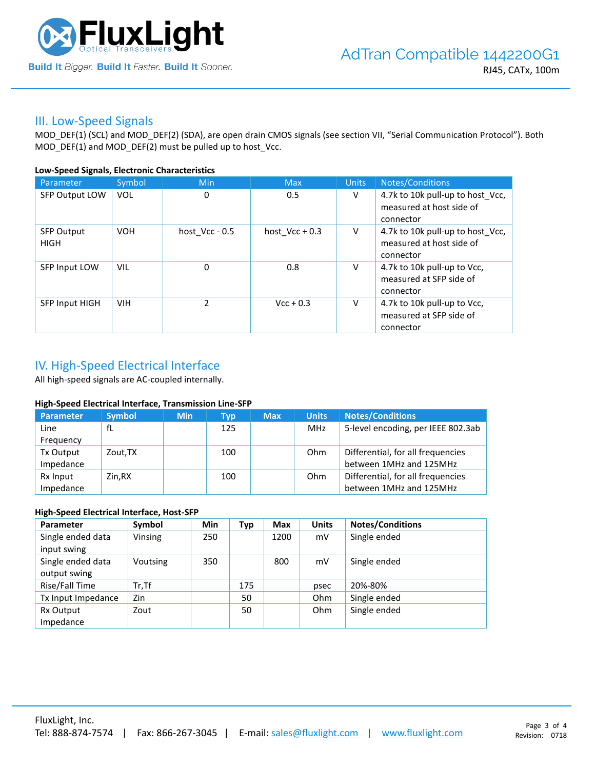

### III. Low-Speed Signals

MOD\_DEF(1) (SCL) and MOD\_DEF(2) (SDA), are open drain CMOS signals (see section VII, "Serial Communication Protocol"). Both MOD\_DEF(1) and MOD\_DEF(2) must be pulled up to host\_Vcc.

#### **Low-Speed Signals, Electronic Characteristics**

| Parameter                        | Symbol     | Min            | <b>Max</b>       | <b>Units</b> | Notes/Conditions                                                          |
|----------------------------------|------------|----------------|------------------|--------------|---------------------------------------------------------------------------|
| SFP Output LOW                   | <b>VOL</b> | 0              | 0.5              | V            | 4.7k to 10k pull-up to host_Vcc,<br>measured at host side of<br>connector |
| <b>SFP Output</b><br><b>HIGH</b> | <b>VOH</b> | host Vcc - 0.5 | host $Vcc + 0.3$ | V            | 4.7k to 10k pull-up to host Vcc,<br>measured at host side of<br>connector |
| SFP Input LOW                    | VIL        | 0              | 0.8              | V            | 4.7k to 10k pull-up to Vcc,<br>measured at SFP side of<br>connector       |
| <b>SFP Input HIGH</b>            | <b>VIH</b> | $\mathcal{P}$  | $Vcc + 0.3$      | V            | 4.7k to 10k pull-up to Vcc,<br>measured at SFP side of<br>connector       |

## IV. High-Speed Electrical Interface

All high-speed signals are AC-coupled internally.

#### **High-Speed Electrical Interface, Transmission Line-SFP**

| Parameter | <b>Symbol</b> | <b>Min</b> | Typ | <b>Max</b> | <b>Units</b> | <b>Notes/Conditions</b>            |
|-----------|---------------|------------|-----|------------|--------------|------------------------------------|
| Line      | fL            |            | 125 |            | MHz          | 5-level encoding, per IEEE 802.3ab |
| Frequency |               |            |     |            |              |                                    |
| Tx Output | Zout, TX      |            | 100 |            | Ohm          | Differential, for all frequencies  |
| Impedance |               |            |     |            |              | between 1MHz and 125MHz            |
| Rx Input  | Zin.RX        |            | 100 |            | Ohm          | Differential, for all frequencies  |
| Impedance |               |            |     |            |              | between 1MHz and 125MHz            |

#### **High-Speed Electrical Interface, Host-SFP**

| Parameter          | Symbol   | <b>Min</b> | Typ | <b>Max</b> | <b>Units</b> | <b>Notes/Conditions</b> |
|--------------------|----------|------------|-----|------------|--------------|-------------------------|
| Single ended data  | Vinsing  | 250        |     | 1200       | mV           | Single ended            |
| input swing        |          |            |     |            |              |                         |
| Single ended data  | Voutsing | 350        |     | 800        | mV           | Single ended            |
| output swing       |          |            |     |            |              |                         |
| Rise/Fall Time     | $Tr.$ Tf |            | 175 |            | psec         | 20%-80%                 |
| Tx Input Impedance | Zin      |            | 50  |            | Ohm          | Single ended            |
| Rx Output          | Zout     |            | 50  |            | Ohm          | Single ended            |
| Impedance          |          |            |     |            |              |                         |